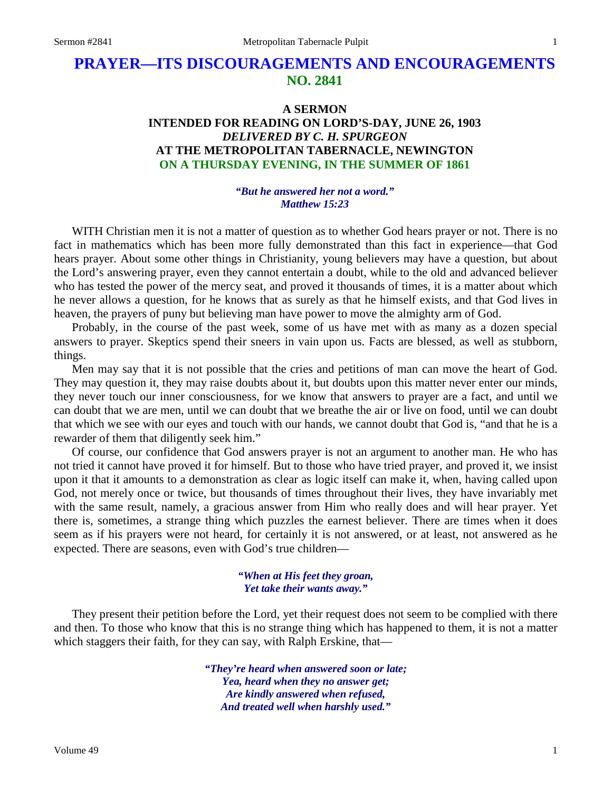# **PRAYER—ITS DISCOURAGEMENTS AND ENCOURAGEMENTS NO. 2841**

## **A SERMON INTENDED FOR READING ON LORD'S-DAY, JUNE 26, 1903** *DELIVERED BY C. H. SPURGEON* **AT THE METROPOLITAN TABERNACLE, NEWINGTON ON A THURSDAY EVENING, IN THE SUMMER OF 1861**

#### *"But he answered her not a word." Matthew 15:23*

WITH Christian men it is not a matter of question as to whether God hears prayer or not. There is no fact in mathematics which has been more fully demonstrated than this fact in experience—that God hears prayer. About some other things in Christianity, young believers may have a question, but about the Lord's answering prayer, even they cannot entertain a doubt, while to the old and advanced believer who has tested the power of the mercy seat, and proved it thousands of times, it is a matter about which he never allows a question, for he knows that as surely as that he himself exists, and that God lives in heaven, the prayers of puny but believing man have power to move the almighty arm of God.

Probably, in the course of the past week, some of us have met with as many as a dozen special answers to prayer. Skeptics spend their sneers in vain upon us. Facts are blessed, as well as stubborn, things.

Men may say that it is not possible that the cries and petitions of man can move the heart of God. They may question it, they may raise doubts about it, but doubts upon this matter never enter our minds, they never touch our inner consciousness, for we know that answers to prayer are a fact, and until we can doubt that we are men, until we can doubt that we breathe the air or live on food, until we can doubt that which we see with our eyes and touch with our hands, we cannot doubt that God is, "and that he is a rewarder of them that diligently seek him."

Of course, our confidence that God answers prayer is not an argument to another man. He who has not tried it cannot have proved it for himself. But to those who have tried prayer, and proved it, we insist upon it that it amounts to a demonstration as clear as logic itself can make it, when, having called upon God, not merely once or twice, but thousands of times throughout their lives, they have invariably met with the same result, namely, a gracious answer from Him who really does and will hear prayer. Yet there is, sometimes, a strange thing which puzzles the earnest believer. There are times when it does seem as if his prayers were not heard, for certainly it is not answered, or at least, not answered as he expected. There are seasons, even with God's true children—

#### *"When at His feet they groan, Yet take their wants away."*

They present their petition before the Lord, yet their request does not seem to be complied with there and then. To those who know that this is no strange thing which has happened to them, it is not a matter which staggers their faith, for they can say, with Ralph Erskine, that—

> *"They're heard when answered soon or late; Yea, heard when they no answer get; Are kindly answered when refused, And treated well when harshly used."*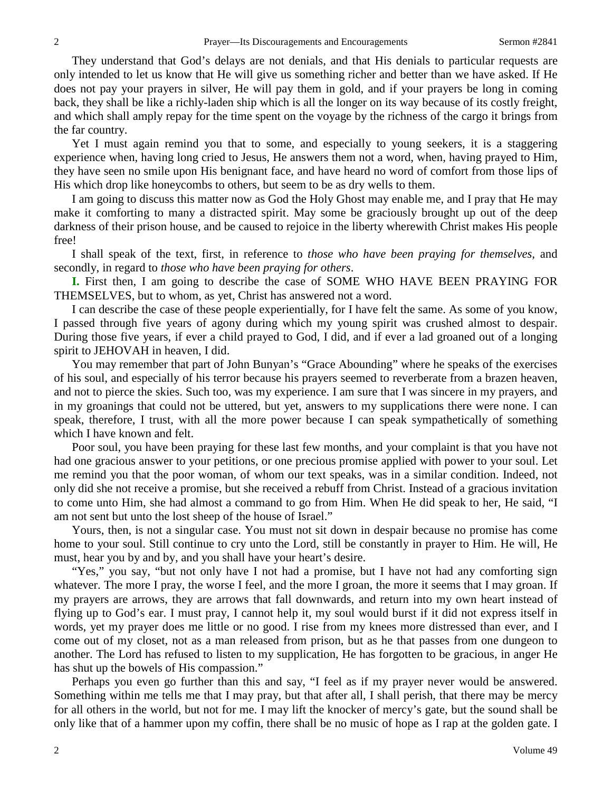They understand that God's delays are not denials, and that His denials to particular requests are only intended to let us know that He will give us something richer and better than we have asked. If He does not pay your prayers in silver, He will pay them in gold, and if your prayers be long in coming back, they shall be like a richly-laden ship which is all the longer on its way because of its costly freight, and which shall amply repay for the time spent on the voyage by the richness of the cargo it brings from the far country.

Yet I must again remind you that to some, and especially to young seekers, it is a staggering experience when, having long cried to Jesus, He answers them not a word, when, having prayed to Him, they have seen no smile upon His benignant face, and have heard no word of comfort from those lips of His which drop like honeycombs to others, but seem to be as dry wells to them.

I am going to discuss this matter now as God the Holy Ghost may enable me, and I pray that He may make it comforting to many a distracted spirit. May some be graciously brought up out of the deep darkness of their prison house, and be caused to rejoice in the liberty wherewith Christ makes His people free!

I shall speak of the text, first, in reference to *those who have been praying for themselves,* and secondly, in regard to *those who have been praying for others*.

**I.** First then, I am going to describe the case of SOME WHO HAVE BEEN PRAYING FOR THEMSELVES, but to whom, as yet, Christ has answered not a word.

I can describe the case of these people experientially, for I have felt the same. As some of you know, I passed through five years of agony during which my young spirit was crushed almost to despair. During those five years, if ever a child prayed to God, I did, and if ever a lad groaned out of a longing spirit to JEHOVAH in heaven, I did.

You may remember that part of John Bunyan's "Grace Abounding" where he speaks of the exercises of his soul, and especially of his terror because his prayers seemed to reverberate from a brazen heaven, and not to pierce the skies. Such too, was my experience. I am sure that I was sincere in my prayers, and in my groanings that could not be uttered, but yet, answers to my supplications there were none. I can speak, therefore, I trust, with all the more power because I can speak sympathetically of something which I have known and felt.

Poor soul, you have been praying for these last few months, and your complaint is that you have not had one gracious answer to your petitions, or one precious promise applied with power to your soul. Let me remind you that the poor woman, of whom our text speaks, was in a similar condition. Indeed, not only did she not receive a promise, but she received a rebuff from Christ. Instead of a gracious invitation to come unto Him, she had almost a command to go from Him. When He did speak to her, He said, "I am not sent but unto the lost sheep of the house of Israel."

Yours, then, is not a singular case. You must not sit down in despair because no promise has come home to your soul. Still continue to cry unto the Lord, still be constantly in prayer to Him. He will, He must, hear you by and by, and you shall have your heart's desire.

"Yes," you say, "but not only have I not had a promise, but I have not had any comforting sign whatever. The more I pray, the worse I feel, and the more I groan, the more it seems that I may groan. If my prayers are arrows, they are arrows that fall downwards, and return into my own heart instead of flying up to God's ear. I must pray, I cannot help it, my soul would burst if it did not express itself in words, yet my prayer does me little or no good. I rise from my knees more distressed than ever, and I come out of my closet, not as a man released from prison, but as he that passes from one dungeon to another. The Lord has refused to listen to my supplication, He has forgotten to be gracious, in anger He has shut up the bowels of His compassion."

Perhaps you even go further than this and say, "I feel as if my prayer never would be answered. Something within me tells me that I may pray, but that after all, I shall perish, that there may be mercy for all others in the world, but not for me. I may lift the knocker of mercy's gate, but the sound shall be only like that of a hammer upon my coffin, there shall be no music of hope as I rap at the golden gate. I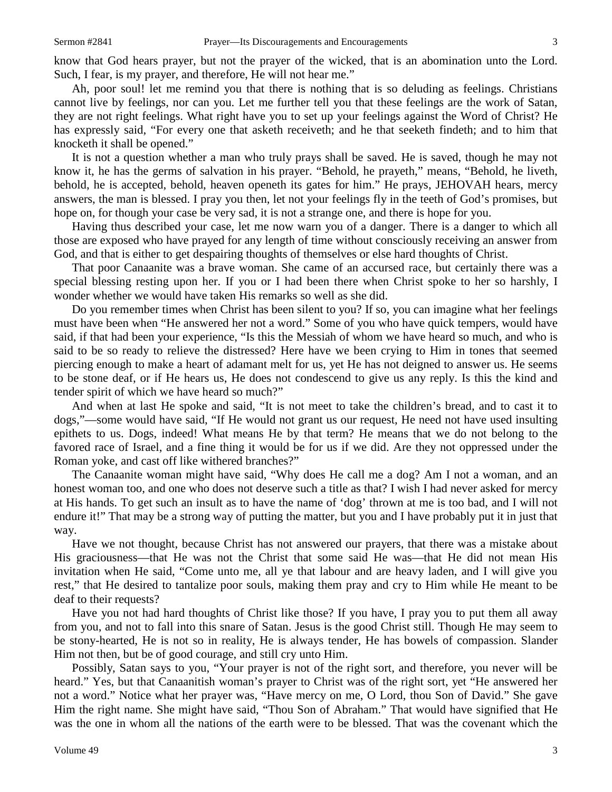know that God hears prayer, but not the prayer of the wicked, that is an abomination unto the Lord. Such, I fear, is my prayer, and therefore, He will not hear me."

Ah, poor soul! let me remind you that there is nothing that is so deluding as feelings. Christians cannot live by feelings, nor can you. Let me further tell you that these feelings are the work of Satan, they are not right feelings. What right have you to set up your feelings against the Word of Christ? He has expressly said, "For every one that asketh receiveth; and he that seeketh findeth; and to him that knocketh it shall be opened."

It is not a question whether a man who truly prays shall be saved. He is saved, though he may not know it, he has the germs of salvation in his prayer. "Behold, he prayeth," means, "Behold, he liveth, behold, he is accepted, behold, heaven openeth its gates for him." He prays, JEHOVAH hears, mercy answers, the man is blessed. I pray you then, let not your feelings fly in the teeth of God's promises, but hope on, for though your case be very sad, it is not a strange one, and there is hope for you.

Having thus described your case, let me now warn you of a danger. There is a danger to which all those are exposed who have prayed for any length of time without consciously receiving an answer from God, and that is either to get despairing thoughts of themselves or else hard thoughts of Christ.

That poor Canaanite was a brave woman. She came of an accursed race, but certainly there was a special blessing resting upon her. If you or I had been there when Christ spoke to her so harshly, I wonder whether we would have taken His remarks so well as she did.

Do you remember times when Christ has been silent to you? If so, you can imagine what her feelings must have been when "He answered her not a word." Some of you who have quick tempers, would have said, if that had been your experience, "Is this the Messiah of whom we have heard so much, and who is said to be so ready to relieve the distressed? Here have we been crying to Him in tones that seemed piercing enough to make a heart of adamant melt for us, yet He has not deigned to answer us. He seems to be stone deaf, or if He hears us, He does not condescend to give us any reply. Is this the kind and tender spirit of which we have heard so much?"

And when at last He spoke and said, "It is not meet to take the children's bread, and to cast it to dogs,"—some would have said, "If He would not grant us our request, He need not have used insulting epithets to us. Dogs, indeed! What means He by that term? He means that we do not belong to the favored race of Israel, and a fine thing it would be for us if we did. Are they not oppressed under the Roman yoke, and cast off like withered branches?"

The Canaanite woman might have said, "Why does He call me a dog? Am I not a woman, and an honest woman too, and one who does not deserve such a title as that? I wish I had never asked for mercy at His hands. To get such an insult as to have the name of 'dog' thrown at me is too bad, and I will not endure it!" That may be a strong way of putting the matter, but you and I have probably put it in just that way.

Have we not thought, because Christ has not answered our prayers, that there was a mistake about His graciousness—that He was not the Christ that some said He was—that He did not mean His invitation when He said, "Come unto me, all ye that labour and are heavy laden, and I will give you rest," that He desired to tantalize poor souls, making them pray and cry to Him while He meant to be deaf to their requests?

Have you not had hard thoughts of Christ like those? If you have, I pray you to put them all away from you, and not to fall into this snare of Satan. Jesus is the good Christ still. Though He may seem to be stony-hearted, He is not so in reality, He is always tender, He has bowels of compassion. Slander Him not then, but be of good courage, and still cry unto Him.

Possibly, Satan says to you, "Your prayer is not of the right sort, and therefore, you never will be heard." Yes, but that Canaanitish woman's prayer to Christ was of the right sort, yet "He answered her not a word." Notice what her prayer was, "Have mercy on me, O Lord, thou Son of David." She gave Him the right name. She might have said, "Thou Son of Abraham." That would have signified that He was the one in whom all the nations of the earth were to be blessed. That was the covenant which the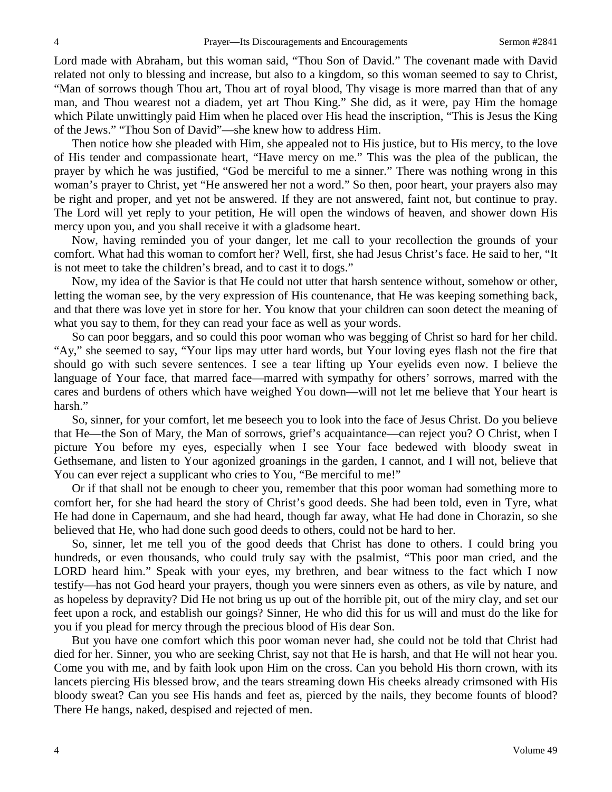Lord made with Abraham, but this woman said, "Thou Son of David." The covenant made with David related not only to blessing and increase, but also to a kingdom, so this woman seemed to say to Christ, "Man of sorrows though Thou art, Thou art of royal blood, Thy visage is more marred than that of any man, and Thou wearest not a diadem, yet art Thou King." She did, as it were, pay Him the homage which Pilate unwittingly paid Him when he placed over His head the inscription, "This is Jesus the King of the Jews." "Thou Son of David"—she knew how to address Him.

Then notice how she pleaded with Him, she appealed not to His justice, but to His mercy, to the love of His tender and compassionate heart, "Have mercy on me." This was the plea of the publican, the prayer by which he was justified, "God be merciful to me a sinner." There was nothing wrong in this woman's prayer to Christ, yet "He answered her not a word." So then, poor heart, your prayers also may be right and proper, and yet not be answered. If they are not answered, faint not, but continue to pray. The Lord will yet reply to your petition, He will open the windows of heaven, and shower down His mercy upon you, and you shall receive it with a gladsome heart.

Now, having reminded you of your danger, let me call to your recollection the grounds of your comfort. What had this woman to comfort her? Well, first, she had Jesus Christ's face. He said to her, "It is not meet to take the children's bread, and to cast it to dogs."

Now, my idea of the Savior is that He could not utter that harsh sentence without, somehow or other, letting the woman see, by the very expression of His countenance, that He was keeping something back, and that there was love yet in store for her. You know that your children can soon detect the meaning of what you say to them, for they can read your face as well as your words.

So can poor beggars, and so could this poor woman who was begging of Christ so hard for her child. "Ay," she seemed to say, "Your lips may utter hard words, but Your loving eyes flash not the fire that should go with such severe sentences. I see a tear lifting up Your eyelids even now. I believe the language of Your face, that marred face—marred with sympathy for others' sorrows, marred with the cares and burdens of others which have weighed You down—will not let me believe that Your heart is harsh."

So, sinner, for your comfort, let me beseech you to look into the face of Jesus Christ. Do you believe that He—the Son of Mary, the Man of sorrows, grief's acquaintance—can reject you? O Christ, when I picture You before my eyes, especially when I see Your face bedewed with bloody sweat in Gethsemane, and listen to Your agonized groanings in the garden, I cannot, and I will not, believe that You can ever reject a supplicant who cries to You, "Be merciful to me!"

Or if that shall not be enough to cheer you, remember that this poor woman had something more to comfort her, for she had heard the story of Christ's good deeds. She had been told, even in Tyre, what He had done in Capernaum, and she had heard, though far away, what He had done in Chorazin, so she believed that He, who had done such good deeds to others, could not be hard to her.

So, sinner, let me tell you of the good deeds that Christ has done to others. I could bring you hundreds, or even thousands, who could truly say with the psalmist, "This poor man cried, and the LORD heard him." Speak with your eyes, my brethren, and bear witness to the fact which I now testify—has not God heard your prayers, though you were sinners even as others, as vile by nature, and as hopeless by depravity? Did He not bring us up out of the horrible pit, out of the miry clay, and set our feet upon a rock, and establish our goings? Sinner, He who did this for us will and must do the like for you if you plead for mercy through the precious blood of His dear Son.

But you have one comfort which this poor woman never had, she could not be told that Christ had died for her. Sinner, you who are seeking Christ, say not that He is harsh, and that He will not hear you. Come you with me, and by faith look upon Him on the cross. Can you behold His thorn crown, with its lancets piercing His blessed brow, and the tears streaming down His cheeks already crimsoned with His bloody sweat? Can you see His hands and feet as, pierced by the nails, they become founts of blood? There He hangs, naked, despised and rejected of men.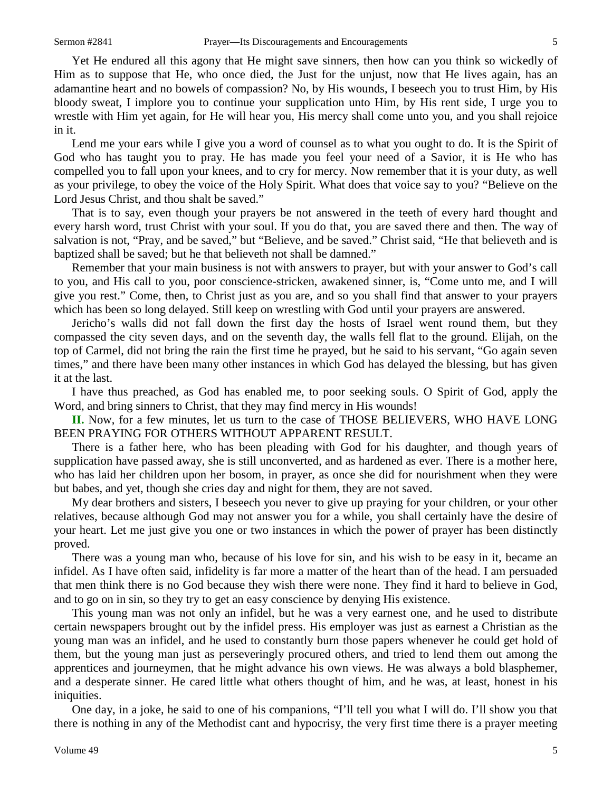Yet He endured all this agony that He might save sinners, then how can you think so wickedly of Him as to suppose that He, who once died, the Just for the unjust, now that He lives again, has an adamantine heart and no bowels of compassion? No, by His wounds, I beseech you to trust Him, by His bloody sweat, I implore you to continue your supplication unto Him, by His rent side, I urge you to wrestle with Him yet again, for He will hear you, His mercy shall come unto you, and you shall rejoice in it.

Lend me your ears while I give you a word of counsel as to what you ought to do. It is the Spirit of God who has taught you to pray. He has made you feel your need of a Savior, it is He who has compelled you to fall upon your knees, and to cry for mercy. Now remember that it is your duty, as well as your privilege, to obey the voice of the Holy Spirit. What does that voice say to you? "Believe on the Lord Jesus Christ, and thou shalt be saved."

That is to say, even though your prayers be not answered in the teeth of every hard thought and every harsh word, trust Christ with your soul. If you do that, you are saved there and then. The way of salvation is not, "Pray, and be saved," but "Believe, and be saved." Christ said, "He that believeth and is baptized shall be saved; but he that believeth not shall be damned."

Remember that your main business is not with answers to prayer, but with your answer to God's call to you, and His call to you, poor conscience-stricken, awakened sinner, is, "Come unto me, and I will give you rest." Come, then, to Christ just as you are, and so you shall find that answer to your prayers which has been so long delayed. Still keep on wrestling with God until your prayers are answered.

Jericho's walls did not fall down the first day the hosts of Israel went round them, but they compassed the city seven days, and on the seventh day, the walls fell flat to the ground. Elijah, on the top of Carmel, did not bring the rain the first time he prayed, but he said to his servant, "Go again seven times," and there have been many other instances in which God has delayed the blessing, but has given it at the last.

I have thus preached, as God has enabled me, to poor seeking souls. O Spirit of God, apply the Word, and bring sinners to Christ, that they may find mercy in His wounds!

**II.** Now, for a few minutes, let us turn to the case of THOSE BELIEVERS, WHO HAVE LONG BEEN PRAYING FOR OTHERS WITHOUT APPARENT RESULT.

There is a father here, who has been pleading with God for his daughter, and though years of supplication have passed away, she is still unconverted, and as hardened as ever. There is a mother here, who has laid her children upon her bosom, in prayer, as once she did for nourishment when they were but babes, and yet, though she cries day and night for them, they are not saved.

My dear brothers and sisters, I beseech you never to give up praying for your children, or your other relatives, because although God may not answer you for a while, you shall certainly have the desire of your heart. Let me just give you one or two instances in which the power of prayer has been distinctly proved.

There was a young man who, because of his love for sin, and his wish to be easy in it, became an infidel. As I have often said, infidelity is far more a matter of the heart than of the head. I am persuaded that men think there is no God because they wish there were none. They find it hard to believe in God, and to go on in sin, so they try to get an easy conscience by denying His existence.

This young man was not only an infidel, but he was a very earnest one, and he used to distribute certain newspapers brought out by the infidel press. His employer was just as earnest a Christian as the young man was an infidel, and he used to constantly burn those papers whenever he could get hold of them, but the young man just as perseveringly procured others, and tried to lend them out among the apprentices and journeymen, that he might advance his own views. He was always a bold blasphemer, and a desperate sinner. He cared little what others thought of him, and he was, at least, honest in his iniquities.

One day, in a joke, he said to one of his companions, "I'll tell you what I will do. I'll show you that there is nothing in any of the Methodist cant and hypocrisy, the very first time there is a prayer meeting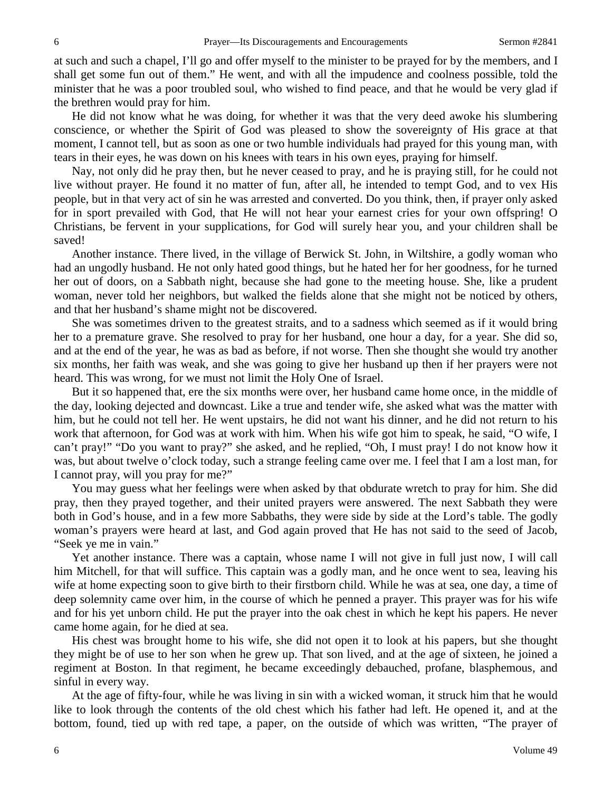at such and such a chapel, I'll go and offer myself to the minister to be prayed for by the members, and I shall get some fun out of them." He went, and with all the impudence and coolness possible, told the minister that he was a poor troubled soul, who wished to find peace, and that he would be very glad if the brethren would pray for him.

He did not know what he was doing, for whether it was that the very deed awoke his slumbering conscience, or whether the Spirit of God was pleased to show the sovereignty of His grace at that moment, I cannot tell, but as soon as one or two humble individuals had prayed for this young man, with tears in their eyes, he was down on his knees with tears in his own eyes, praying for himself.

Nay, not only did he pray then, but he never ceased to pray, and he is praying still, for he could not live without prayer. He found it no matter of fun, after all, he intended to tempt God, and to vex His people, but in that very act of sin he was arrested and converted. Do you think, then, if prayer only asked for in sport prevailed with God, that He will not hear your earnest cries for your own offspring! O Christians, be fervent in your supplications, for God will surely hear you, and your children shall be saved!

Another instance. There lived, in the village of Berwick St. John, in Wiltshire, a godly woman who had an ungodly husband. He not only hated good things, but he hated her for her goodness, for he turned her out of doors, on a Sabbath night, because she had gone to the meeting house. She, like a prudent woman, never told her neighbors, but walked the fields alone that she might not be noticed by others, and that her husband's shame might not be discovered.

She was sometimes driven to the greatest straits, and to a sadness which seemed as if it would bring her to a premature grave. She resolved to pray for her husband, one hour a day, for a year. She did so, and at the end of the year, he was as bad as before, if not worse. Then she thought she would try another six months, her faith was weak, and she was going to give her husband up then if her prayers were not heard. This was wrong, for we must not limit the Holy One of Israel.

But it so happened that, ere the six months were over, her husband came home once, in the middle of the day, looking dejected and downcast. Like a true and tender wife, she asked what was the matter with him, but he could not tell her. He went upstairs, he did not want his dinner, and he did not return to his work that afternoon, for God was at work with him. When his wife got him to speak, he said, "O wife, I can't pray!" "Do you want to pray?" she asked, and he replied, "Oh, I must pray! I do not know how it was, but about twelve o'clock today, such a strange feeling came over me. I feel that I am a lost man, for I cannot pray, will you pray for me?"

You may guess what her feelings were when asked by that obdurate wretch to pray for him. She did pray, then they prayed together, and their united prayers were answered. The next Sabbath they were both in God's house, and in a few more Sabbaths, they were side by side at the Lord's table. The godly woman's prayers were heard at last, and God again proved that He has not said to the seed of Jacob, "Seek ye me in vain."

Yet another instance. There was a captain, whose name I will not give in full just now, I will call him Mitchell, for that will suffice. This captain was a godly man, and he once went to sea, leaving his wife at home expecting soon to give birth to their firstborn child. While he was at sea, one day, a time of deep solemnity came over him, in the course of which he penned a prayer. This prayer was for his wife and for his yet unborn child. He put the prayer into the oak chest in which he kept his papers. He never came home again, for he died at sea.

His chest was brought home to his wife, she did not open it to look at his papers, but she thought they might be of use to her son when he grew up. That son lived, and at the age of sixteen, he joined a regiment at Boston. In that regiment, he became exceedingly debauched, profane, blasphemous, and sinful in every way.

At the age of fifty-four, while he was living in sin with a wicked woman, it struck him that he would like to look through the contents of the old chest which his father had left. He opened it, and at the bottom, found, tied up with red tape, a paper, on the outside of which was written, "The prayer of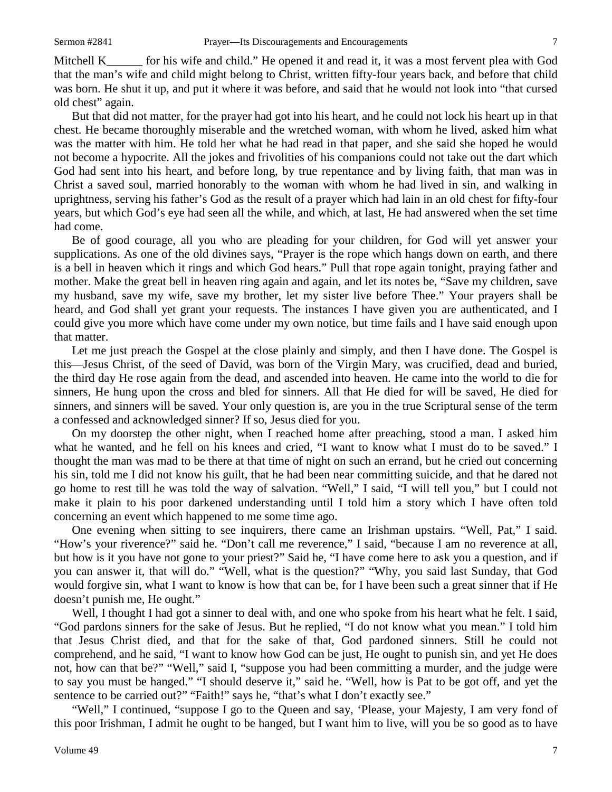Mitchell K for his wife and child." He opened it and read it, it was a most fervent plea with God that the man's wife and child might belong to Christ, written fifty-four years back, and before that child was born. He shut it up, and put it where it was before, and said that he would not look into "that cursed old chest" again.

But that did not matter, for the prayer had got into his heart, and he could not lock his heart up in that chest. He became thoroughly miserable and the wretched woman, with whom he lived, asked him what was the matter with him. He told her what he had read in that paper, and she said she hoped he would not become a hypocrite. All the jokes and frivolities of his companions could not take out the dart which God had sent into his heart, and before long, by true repentance and by living faith, that man was in Christ a saved soul, married honorably to the woman with whom he had lived in sin, and walking in uprightness, serving his father's God as the result of a prayer which had lain in an old chest for fifty-four years, but which God's eye had seen all the while, and which, at last, He had answered when the set time had come.

Be of good courage, all you who are pleading for your children, for God will yet answer your supplications. As one of the old divines says, "Prayer is the rope which hangs down on earth, and there is a bell in heaven which it rings and which God hears." Pull that rope again tonight, praying father and mother. Make the great bell in heaven ring again and again, and let its notes be, "Save my children, save my husband, save my wife, save my brother, let my sister live before Thee." Your prayers shall be heard, and God shall yet grant your requests. The instances I have given you are authenticated, and I could give you more which have come under my own notice, but time fails and I have said enough upon that matter.

Let me just preach the Gospel at the close plainly and simply, and then I have done. The Gospel is this—Jesus Christ, of the seed of David, was born of the Virgin Mary, was crucified, dead and buried, the third day He rose again from the dead, and ascended into heaven. He came into the world to die for sinners, He hung upon the cross and bled for sinners. All that He died for will be saved, He died for sinners, and sinners will be saved. Your only question is, are you in the true Scriptural sense of the term a confessed and acknowledged sinner? If so, Jesus died for you.

On my doorstep the other night, when I reached home after preaching, stood a man. I asked him what he wanted, and he fell on his knees and cried, "I want to know what I must do to be saved." I thought the man was mad to be there at that time of night on such an errand, but he cried out concerning his sin, told me I did not know his guilt, that he had been near committing suicide, and that he dared not go home to rest till he was told the way of salvation. "Well," I said, "I will tell you," but I could not make it plain to his poor darkened understanding until I told him a story which I have often told concerning an event which happened to me some time ago.

One evening when sitting to see inquirers, there came an Irishman upstairs. "Well, Pat," I said. "How's your riverence?" said he. "Don't call me reverence," I said, "because I am no reverence at all, but how is it you have not gone to your priest?" Said he, "I have come here to ask you a question, and if you can answer it, that will do." "Well, what is the question?" "Why, you said last Sunday, that God would forgive sin, what I want to know is how that can be, for I have been such a great sinner that if He doesn't punish me, He ought."

Well, I thought I had got a sinner to deal with, and one who spoke from his heart what he felt. I said, "God pardons sinners for the sake of Jesus. But he replied, "I do not know what you mean." I told him that Jesus Christ died, and that for the sake of that, God pardoned sinners. Still he could not comprehend, and he said, "I want to know how God can be just, He ought to punish sin, and yet He does not, how can that be?" "Well," said I, "suppose you had been committing a murder, and the judge were to say you must be hanged." "I should deserve it," said he. "Well, how is Pat to be got off, and yet the sentence to be carried out?" "Faith!" says he, "that's what I don't exactly see."

"Well," I continued, "suppose I go to the Queen and say, 'Please, your Majesty, I am very fond of this poor Irishman, I admit he ought to be hanged, but I want him to live, will you be so good as to have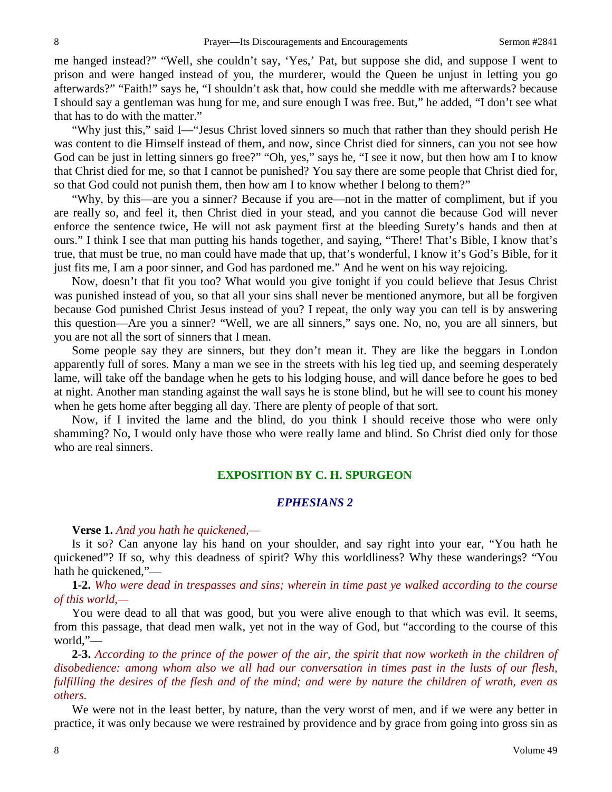me hanged instead?" "Well, she couldn't say, 'Yes,' Pat, but suppose she did, and suppose I went to prison and were hanged instead of you, the murderer, would the Queen be unjust in letting you go afterwards?" "Faith!" says he, "I shouldn't ask that, how could she meddle with me afterwards? because I should say a gentleman was hung for me, and sure enough I was free. But," he added, "I don't see what that has to do with the matter."

"Why just this," said I—"Jesus Christ loved sinners so much that rather than they should perish He was content to die Himself instead of them, and now, since Christ died for sinners, can you not see how God can be just in letting sinners go free?" "Oh, yes," says he, "I see it now, but then how am I to know that Christ died for me, so that I cannot be punished? You say there are some people that Christ died for, so that God could not punish them, then how am I to know whether I belong to them?"

"Why, by this—are you a sinner? Because if you are—not in the matter of compliment, but if you are really so, and feel it, then Christ died in your stead, and you cannot die because God will never enforce the sentence twice, He will not ask payment first at the bleeding Surety's hands and then at ours." I think I see that man putting his hands together, and saying, "There! That's Bible, I know that's true, that must be true, no man could have made that up, that's wonderful, I know it's God's Bible, for it just fits me, I am a poor sinner, and God has pardoned me." And he went on his way rejoicing.

Now, doesn't that fit you too? What would you give tonight if you could believe that Jesus Christ was punished instead of you, so that all your sins shall never be mentioned anymore, but all be forgiven because God punished Christ Jesus instead of you? I repeat, the only way you can tell is by answering this question—Are you a sinner? "Well, we are all sinners," says one. No, no, you are all sinners, but you are not all the sort of sinners that I mean.

Some people say they are sinners, but they don't mean it. They are like the beggars in London apparently full of sores. Many a man we see in the streets with his leg tied up, and seeming desperately lame, will take off the bandage when he gets to his lodging house, and will dance before he goes to bed at night. Another man standing against the wall says he is stone blind, but he will see to count his money when he gets home after begging all day. There are plenty of people of that sort.

Now, if I invited the lame and the blind, do you think I should receive those who were only shamming? No, I would only have those who were really lame and blind. So Christ died only for those who are real sinners.

#### **EXPOSITION BY C. H. SPURGEON**

### *EPHESIANS 2*

**Verse 1.** *And you hath he quickened,—*

Is it so? Can anyone lay his hand on your shoulder, and say right into your ear, "You hath he quickened"? If so, why this deadness of spirit? Why this worldliness? Why these wanderings? "You hath he quickened,"—

**1-2.** *Who were dead in trespasses and sins; wherein in time past ye walked according to the course of this world,—*

You were dead to all that was good, but you were alive enough to that which was evil. It seems, from this passage, that dead men walk, yet not in the way of God, but "according to the course of this world,"—

**2-3.** *According to the prince of the power of the air, the spirit that now worketh in the children of disobedience: among whom also we all had our conversation in times past in the lusts of our flesh, fulfilling the desires of the flesh and of the mind; and were by nature the children of wrath, even as others.*

We were not in the least better, by nature, than the very worst of men, and if we were any better in practice, it was only because we were restrained by providence and by grace from going into gross sin as